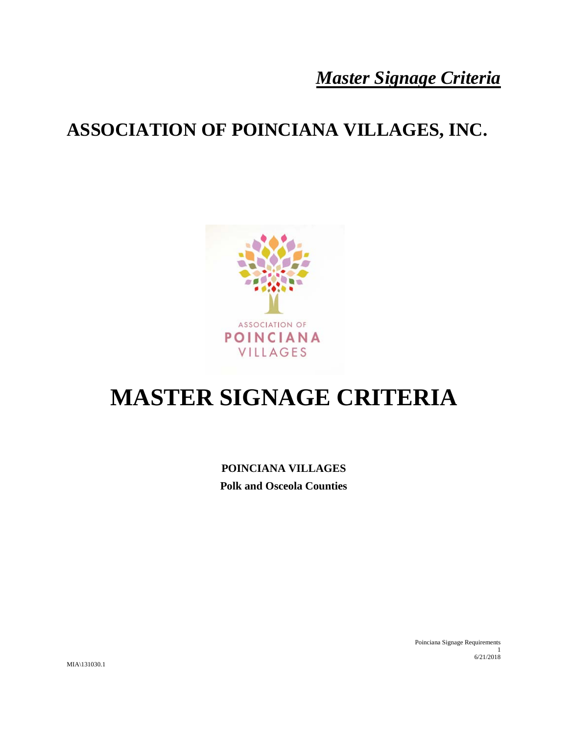## **ASSOCIATION OF POINCIANA VILLAGES, INC.**



# **MASTER SIGNAGE CRITERIA**

**POINCIANA VILLAGES Polk and Osceola Counties**

> Poinciana Signage Requirements 1 6/21/2018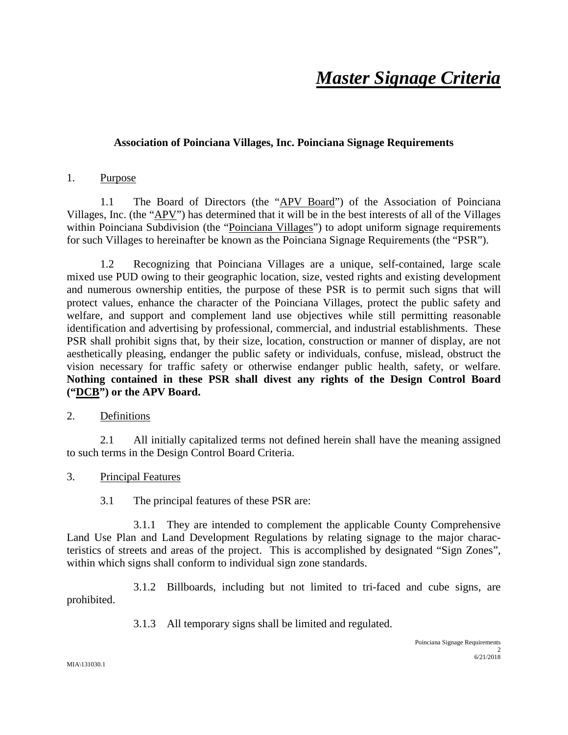### **Association of Poinciana Villages, Inc. Poinciana Signage Requirements**

#### 1. Purpose

1.1 The Board of Directors (the "APV Board") of the Association of Poinciana Villages, Inc. (the "APV") has determined that it will be in the best interests of all of the Villages within Poinciana Subdivision (the "Poinciana Villages") to adopt uniform signage requirements for such Villages to hereinafter be known as the Poinciana Signage Requirements (the "PSR").

1.2 Recognizing that Poinciana Villages are a unique, self-contained, large scale mixed use PUD owing to their geographic location, size, vested rights and existing development and numerous ownership entities, the purpose of these PSR is to permit such signs that will protect values, enhance the character of the Poinciana Villages, protect the public safety and welfare, and support and complement land use objectives while still permitting reasonable identification and advertising by professional, commercial, and industrial establishments. These PSR shall prohibit signs that, by their size, location, construction or manner of display, are not aesthetically pleasing, endanger the public safety or individuals, confuse, mislead, obstruct the vision necessary for traffic safety or otherwise endanger public health, safety, or welfare. **Nothing contained in these PSR shall divest any rights of the Design Control Board ("DCB") or the APV Board.**

### 2. Definitions

2.1 All initially capitalized terms not defined herein shall have the meaning assigned to such terms in the Design Control Board Criteria.

### 3. Principal Features

3.1 The principal features of these PSR are:

3.1.1 They are intended to complement the applicable County Comprehensive Land Use Plan and Land Development Regulations by relating signage to the major characteristics of streets and areas of the project. This is accomplished by designated "Sign Zones", within which signs shall conform to individual sign zone standards.

3.1.2 Billboards, including but not limited to tri-faced and cube signs, are prohibited.

3.1.3 All temporary signs shall be limited and regulated.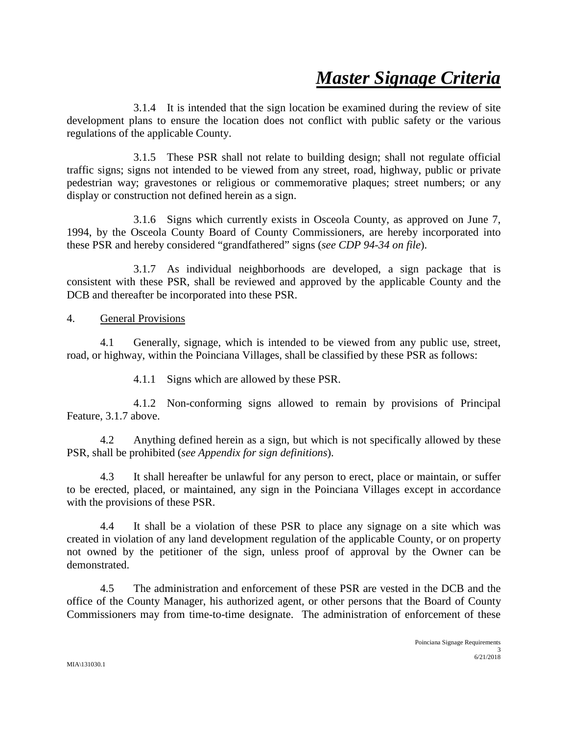3.1.4 It is intended that the sign location be examined during the review of site development plans to ensure the location does not conflict with public safety or the various regulations of the applicable County.

3.1.5 These PSR shall not relate to building design; shall not regulate official traffic signs; signs not intended to be viewed from any street, road, highway, public or private pedestrian way; gravestones or religious or commemorative plaques; street numbers; or any display or construction not defined herein as a sign.

3.1.6 Signs which currently exists in Osceola County, as approved on June 7, 1994, by the Osceola County Board of County Commissioners, are hereby incorporated into these PSR and hereby considered "grandfathered" signs (*see CDP 94-34 on file*).

3.1.7 As individual neighborhoods are developed, a sign package that is consistent with these PSR, shall be reviewed and approved by the applicable County and the DCB and thereafter be incorporated into these PSR.

### 4. General Provisions

4.1 Generally, signage, which is intended to be viewed from any public use, street, road, or highway, within the Poinciana Villages, shall be classified by these PSR as follows:

4.1.1 Signs which are allowed by these PSR.

4.1.2 Non-conforming signs allowed to remain by provisions of Principal Feature, 3.1.7 above.

4.2 Anything defined herein as a sign, but which is not specifically allowed by these PSR, shall be prohibited (*see Appendix for sign definitions*).

4.3 It shall hereafter be unlawful for any person to erect, place or maintain, or suffer to be erected, placed, or maintained, any sign in the Poinciana Villages except in accordance with the provisions of these PSR.

4.4 It shall be a violation of these PSR to place any signage on a site which was created in violation of any land development regulation of the applicable County, or on property not owned by the petitioner of the sign, unless proof of approval by the Owner can be demonstrated.

4.5 The administration and enforcement of these PSR are vested in the DCB and the office of the County Manager, his authorized agent, or other persons that the Board of County Commissioners may from time-to-time designate. The administration of enforcement of these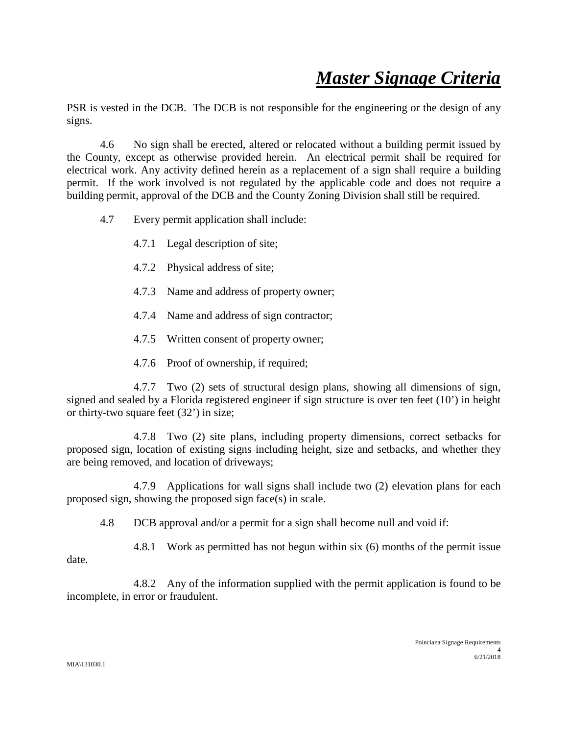PSR is vested in the DCB. The DCB is not responsible for the engineering or the design of any signs.

4.6 No sign shall be erected, altered or relocated without a building permit issued by the County, except as otherwise provided herein. An electrical permit shall be required for electrical work. Any activity defined herein as a replacement of a sign shall require a building permit. If the work involved is not regulated by the applicable code and does not require a building permit, approval of the DCB and the County Zoning Division shall still be required.

- 4.7 Every permit application shall include:
	- 4.7.1 Legal description of site;
	- 4.7.2 Physical address of site;
	- 4.7.3 Name and address of property owner;
	- 4.7.4 Name and address of sign contractor;
	- 4.7.5 Written consent of property owner;
	- 4.7.6 Proof of ownership, if required;

4.7.7 Two (2) sets of structural design plans, showing all dimensions of sign, signed and sealed by a Florida registered engineer if sign structure is over ten feet (10') in height or thirty-two square feet (32') in size;

4.7.8 Two (2) site plans, including property dimensions, correct setbacks for proposed sign, location of existing signs including height, size and setbacks, and whether they are being removed, and location of driveways;

4.7.9 Applications for wall signs shall include two (2) elevation plans for each proposed sign, showing the proposed sign face(s) in scale.

4.8 DCB approval and/or a permit for a sign shall become null and void if:

4.8.1 Work as permitted has not begun within six (6) months of the permit issue date.

4.8.2 Any of the information supplied with the permit application is found to be incomplete, in error or fraudulent.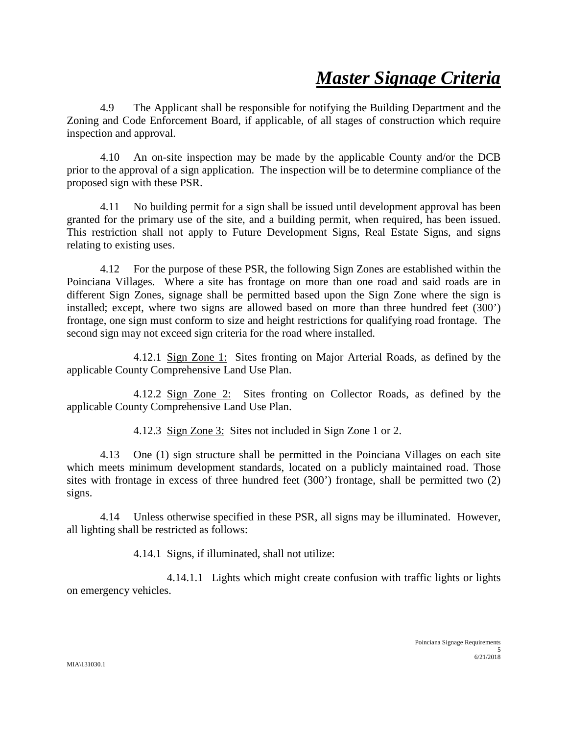4.9 The Applicant shall be responsible for notifying the Building Department and the Zoning and Code Enforcement Board, if applicable, of all stages of construction which require inspection and approval.

4.10 An on-site inspection may be made by the applicable County and/or the DCB prior to the approval of a sign application. The inspection will be to determine compliance of the proposed sign with these PSR.

4.11 No building permit for a sign shall be issued until development approval has been granted for the primary use of the site, and a building permit, when required, has been issued. This restriction shall not apply to Future Development Signs, Real Estate Signs, and signs relating to existing uses.

4.12 For the purpose of these PSR, the following Sign Zones are established within the Poinciana Villages. Where a site has frontage on more than one road and said roads are in different Sign Zones, signage shall be permitted based upon the Sign Zone where the sign is installed; except, where two signs are allowed based on more than three hundred feet (300') frontage, one sign must conform to size and height restrictions for qualifying road frontage. The second sign may not exceed sign criteria for the road where installed.

4.12.1 Sign Zone 1: Sites fronting on Major Arterial Roads, as defined by the applicable County Comprehensive Land Use Plan.

4.12.2 Sign Zone 2: Sites fronting on Collector Roads, as defined by the applicable County Comprehensive Land Use Plan.

4.12.3 Sign Zone 3: Sites not included in Sign Zone 1 or 2.

4.13 One (1) sign structure shall be permitted in the Poinciana Villages on each site which meets minimum development standards, located on a publicly maintained road. Those sites with frontage in excess of three hundred feet (300') frontage, shall be permitted two (2) signs.

4.14 Unless otherwise specified in these PSR, all signs may be illuminated. However, all lighting shall be restricted as follows:

4.14.1 Signs, if illuminated, shall not utilize:

4.14.1.1 Lights which might create confusion with traffic lights or lights on emergency vehicles.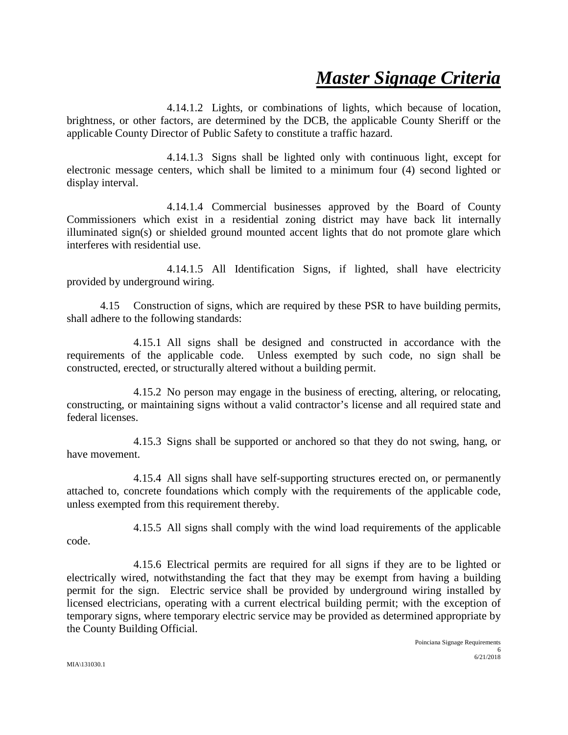4.14.1.2 Lights, or combinations of lights, which because of location, brightness, or other factors, are determined by the DCB, the applicable County Sheriff or the applicable County Director of Public Safety to constitute a traffic hazard.

4.14.1.3 Signs shall be lighted only with continuous light, except for electronic message centers, which shall be limited to a minimum four (4) second lighted or display interval.

4.14.1.4 Commercial businesses approved by the Board of County Commissioners which exist in a residential zoning district may have back lit internally illuminated sign(s) or shielded ground mounted accent lights that do not promote glare which interferes with residential use.

4.14.1.5 All Identification Signs, if lighted, shall have electricity provided by underground wiring.

4.15 Construction of signs, which are required by these PSR to have building permits, shall adhere to the following standards:

4.15.1 All signs shall be designed and constructed in accordance with the requirements of the applicable code. Unless exempted by such code, no sign shall be constructed, erected, or structurally altered without a building permit.

4.15.2 No person may engage in the business of erecting, altering, or relocating, constructing, or maintaining signs without a valid contractor's license and all required state and federal licenses.

4.15.3 Signs shall be supported or anchored so that they do not swing, hang, or have movement.

4.15.4 All signs shall have self-supporting structures erected on, or permanently attached to, concrete foundations which comply with the requirements of the applicable code, unless exempted from this requirement thereby.

4.15.5 All signs shall comply with the wind load requirements of the applicable code.

4.15.6 Electrical permits are required for all signs if they are to be lighted or electrically wired, notwithstanding the fact that they may be exempt from having a building permit for the sign. Electric service shall be provided by underground wiring installed by licensed electricians, operating with a current electrical building permit; with the exception of temporary signs, where temporary electric service may be provided as determined appropriate by the County Building Official.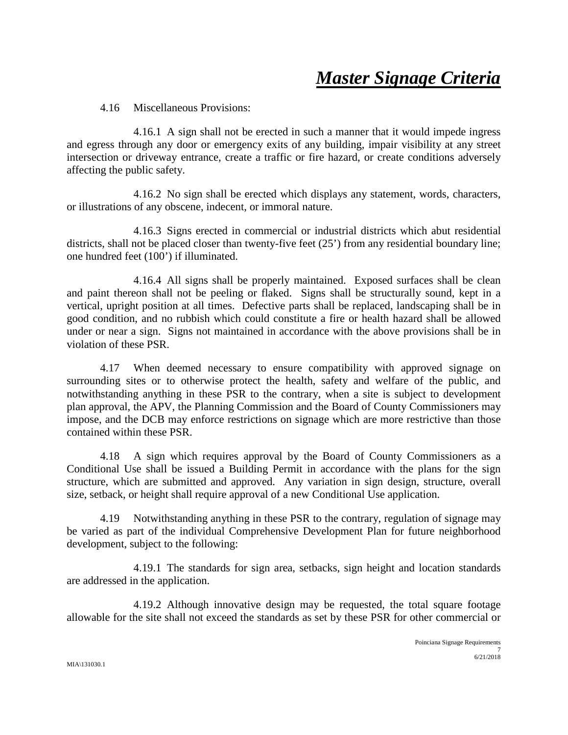4.16 Miscellaneous Provisions:

4.16.1 A sign shall not be erected in such a manner that it would impede ingress and egress through any door or emergency exits of any building, impair visibility at any street intersection or driveway entrance, create a traffic or fire hazard, or create conditions adversely affecting the public safety.

4.16.2 No sign shall be erected which displays any statement, words, characters, or illustrations of any obscene, indecent, or immoral nature.

4.16.3 Signs erected in commercial or industrial districts which abut residential districts, shall not be placed closer than twenty-five feet (25') from any residential boundary line; one hundred feet (100') if illuminated.

4.16.4 All signs shall be properly maintained. Exposed surfaces shall be clean and paint thereon shall not be peeling or flaked. Signs shall be structurally sound, kept in a vertical, upright position at all times. Defective parts shall be replaced, landscaping shall be in good condition, and no rubbish which could constitute a fire or health hazard shall be allowed under or near a sign. Signs not maintained in accordance with the above provisions shall be in violation of these PSR.

4.17 When deemed necessary to ensure compatibility with approved signage on surrounding sites or to otherwise protect the health, safety and welfare of the public, and notwithstanding anything in these PSR to the contrary, when a site is subject to development plan approval, the APV, the Planning Commission and the Board of County Commissioners may impose, and the DCB may enforce restrictions on signage which are more restrictive than those contained within these PSR.

4.18 A sign which requires approval by the Board of County Commissioners as a Conditional Use shall be issued a Building Permit in accordance with the plans for the sign structure, which are submitted and approved. Any variation in sign design, structure, overall size, setback, or height shall require approval of a new Conditional Use application.

4.19 Notwithstanding anything in these PSR to the contrary, regulation of signage may be varied as part of the individual Comprehensive Development Plan for future neighborhood development, subject to the following:

4.19.1 The standards for sign area, setbacks, sign height and location standards are addressed in the application.

4.19.2 Although innovative design may be requested, the total square footage allowable for the site shall not exceed the standards as set by these PSR for other commercial or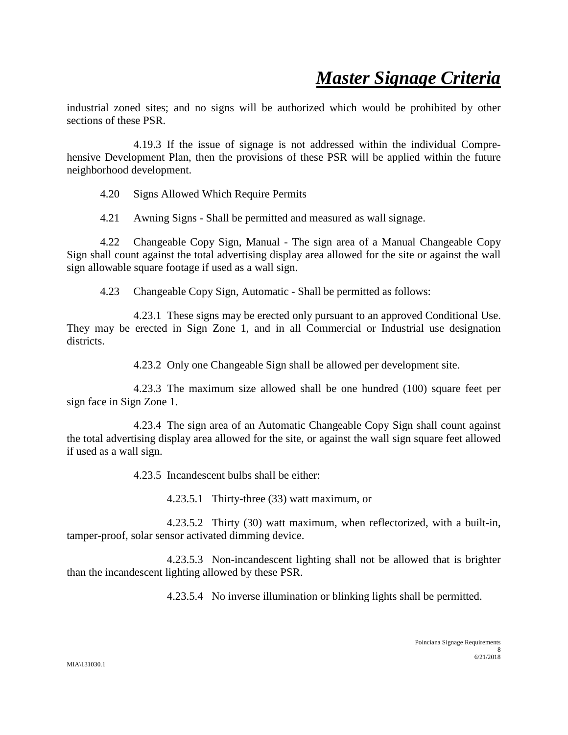industrial zoned sites; and no signs will be authorized which would be prohibited by other sections of these PSR.

4.19.3 If the issue of signage is not addressed within the individual Comprehensive Development Plan, then the provisions of these PSR will be applied within the future neighborhood development.

4.20 Signs Allowed Which Require Permits

4.21 Awning Signs - Shall be permitted and measured as wall signage.

4.22 Changeable Copy Sign, Manual - The sign area of a Manual Changeable Copy Sign shall count against the total advertising display area allowed for the site or against the wall sign allowable square footage if used as a wall sign.

4.23 Changeable Copy Sign, Automatic - Shall be permitted as follows:

4.23.1 These signs may be erected only pursuant to an approved Conditional Use. They may be erected in Sign Zone 1, and in all Commercial or Industrial use designation districts.

4.23.2 Only one Changeable Sign shall be allowed per development site.

4.23.3 The maximum size allowed shall be one hundred (100) square feet per sign face in Sign Zone 1.

4.23.4 The sign area of an Automatic Changeable Copy Sign shall count against the total advertising display area allowed for the site, or against the wall sign square feet allowed if used as a wall sign.

4.23.5 Incandescent bulbs shall be either:

4.23.5.1 Thirty-three (33) watt maximum, or

4.23.5.2 Thirty (30) watt maximum, when reflectorized, with a built-in, tamper-proof, solar sensor activated dimming device.

4.23.5.3 Non-incandescent lighting shall not be allowed that is brighter than the incandescent lighting allowed by these PSR.

4.23.5.4 No inverse illumination or blinking lights shall be permitted.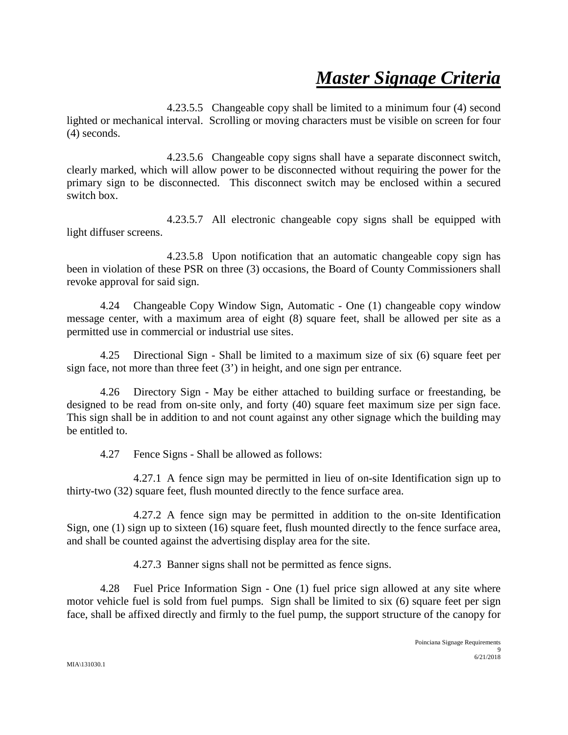4.23.5.5 Changeable copy shall be limited to a minimum four (4) second lighted or mechanical interval. Scrolling or moving characters must be visible on screen for four (4) seconds.

4.23.5.6 Changeable copy signs shall have a separate disconnect switch, clearly marked, which will allow power to be disconnected without requiring the power for the primary sign to be disconnected. This disconnect switch may be enclosed within a secured switch box.

4.23.5.7 All electronic changeable copy signs shall be equipped with light diffuser screens.

4.23.5.8 Upon notification that an automatic changeable copy sign has been in violation of these PSR on three (3) occasions, the Board of County Commissioners shall revoke approval for said sign.

4.24 Changeable Copy Window Sign, Automatic - One (1) changeable copy window message center, with a maximum area of eight (8) square feet, shall be allowed per site as a permitted use in commercial or industrial use sites.

4.25 Directional Sign - Shall be limited to a maximum size of six (6) square feet per sign face, not more than three feet (3') in height, and one sign per entrance.

4.26 Directory Sign - May be either attached to building surface or freestanding, be designed to be read from on-site only, and forty (40) square feet maximum size per sign face. This sign shall be in addition to and not count against any other signage which the building may be entitled to.

4.27 Fence Signs - Shall be allowed as follows:

4.27.1 A fence sign may be permitted in lieu of on-site Identification sign up to thirty-two (32) square feet, flush mounted directly to the fence surface area.

4.27.2 A fence sign may be permitted in addition to the on-site Identification Sign, one (1) sign up to sixteen (16) square feet, flush mounted directly to the fence surface area, and shall be counted against the advertising display area for the site.

4.27.3 Banner signs shall not be permitted as fence signs.

4.28 Fuel Price Information Sign - One (1) fuel price sign allowed at any site where motor vehicle fuel is sold from fuel pumps. Sign shall be limited to six (6) square feet per sign face, shall be affixed directly and firmly to the fuel pump, the support structure of the canopy for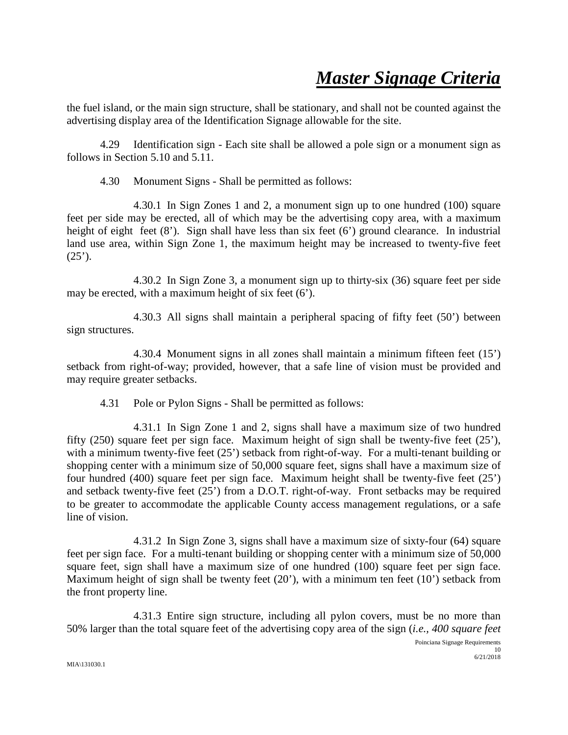the fuel island, or the main sign structure, shall be stationary, and shall not be counted against the advertising display area of the Identification Signage allowable for the site.

4.29 Identification sign - Each site shall be allowed a pole sign or a monument sign as follows in Section 5.10 and 5.11.

4.30 Monument Signs - Shall be permitted as follows:

4.30.1 In Sign Zones 1 and 2, a monument sign up to one hundred (100) square feet per side may be erected, all of which may be the advertising copy area, with a maximum height of eight feet (8'). Sign shall have less than six feet (6') ground clearance. In industrial land use area, within Sign Zone 1, the maximum height may be increased to twenty-five feet  $(25')$ .

4.30.2 In Sign Zone 3, a monument sign up to thirty-six (36) square feet per side may be erected, with a maximum height of six feet (6').

4.30.3 All signs shall maintain a peripheral spacing of fifty feet (50') between sign structures.

4.30.4 Monument signs in all zones shall maintain a minimum fifteen feet (15') setback from right-of-way; provided, however, that a safe line of vision must be provided and may require greater setbacks.

4.31 Pole or Pylon Signs - Shall be permitted as follows:

4.31.1 In Sign Zone 1 and 2, signs shall have a maximum size of two hundred fifty (250) square feet per sign face. Maximum height of sign shall be twenty-five feet (25'), with a minimum twenty-five feet (25') setback from right-of-way. For a multi-tenant building or shopping center with a minimum size of 50,000 square feet, signs shall have a maximum size of four hundred (400) square feet per sign face. Maximum height shall be twenty-five feet (25') and setback twenty-five feet (25') from a D.O.T. right-of-way. Front setbacks may be required to be greater to accommodate the applicable County access management regulations, or a safe line of vision.

4.31.2 In Sign Zone 3, signs shall have a maximum size of sixty-four (64) square feet per sign face. For a multi-tenant building or shopping center with a minimum size of 50,000 square feet, sign shall have a maximum size of one hundred (100) square feet per sign face. Maximum height of sign shall be twenty feet (20'), with a minimum ten feet (10') setback from the front property line.

4.31.3 Entire sign structure, including all pylon covers, must be no more than 50% larger than the total square feet of the advertising copy area of the sign (*i.e., 400 square feet*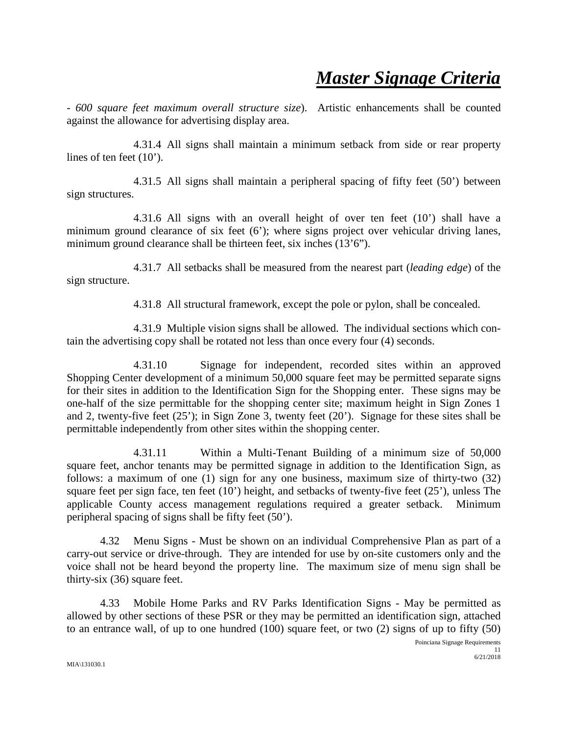*- 600 square feet maximum overall structure size*). Artistic enhancements shall be counted against the allowance for advertising display area.

4.31.4 All signs shall maintain a minimum setback from side or rear property lines of ten feet (10').

4.31.5 All signs shall maintain a peripheral spacing of fifty feet (50') between sign structures.

4.31.6 All signs with an overall height of over ten feet (10') shall have a minimum ground clearance of six feet (6'); where signs project over vehicular driving lanes, minimum ground clearance shall be thirteen feet, six inches (13'6").

4.31.7 All setbacks shall be measured from the nearest part (*leading edge*) of the sign structure.

4.31.8 All structural framework, except the pole or pylon, shall be concealed.

4.31.9 Multiple vision signs shall be allowed. The individual sections which contain the advertising copy shall be rotated not less than once every four (4) seconds.

4.31.10 Signage for independent, recorded sites within an approved Shopping Center development of a minimum 50,000 square feet may be permitted separate signs for their sites in addition to the Identification Sign for the Shopping enter. These signs may be one-half of the size permittable for the shopping center site; maximum height in Sign Zones 1 and 2, twenty-five feet (25'); in Sign Zone 3, twenty feet (20'). Signage for these sites shall be permittable independently from other sites within the shopping center.

4.31.11 Within a Multi-Tenant Building of a minimum size of 50,000 square feet, anchor tenants may be permitted signage in addition to the Identification Sign, as follows: a maximum of one (1) sign for any one business, maximum size of thirty-two (32) square feet per sign face, ten feet (10') height, and setbacks of twenty-five feet (25'), unless The applicable County access management regulations required a greater setback. Minimum peripheral spacing of signs shall be fifty feet (50').

4.32 Menu Signs - Must be shown on an individual Comprehensive Plan as part of a carry-out service or drive-through. They are intended for use by on-site customers only and the voice shall not be heard beyond the property line. The maximum size of menu sign shall be thirty-six (36) square feet.

4.33 Mobile Home Parks and RV Parks Identification Signs - May be permitted as allowed by other sections of these PSR or they may be permitted an identification sign, attached to an entrance wall, of up to one hundred (100) square feet, or two (2) signs of up to fifty (50)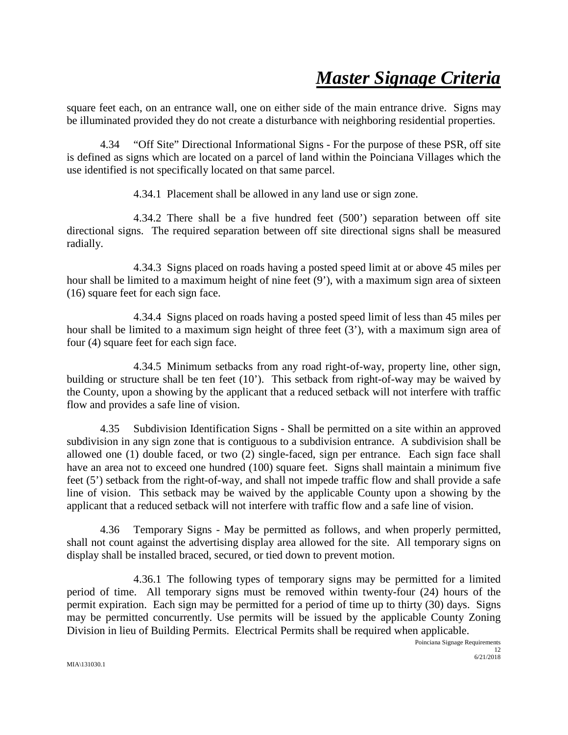square feet each, on an entrance wall, one on either side of the main entrance drive. Signs may be illuminated provided they do not create a disturbance with neighboring residential properties.

4.34 "Off Site" Directional Informational Signs - For the purpose of these PSR, off site is defined as signs which are located on a parcel of land within the Poinciana Villages which the use identified is not specifically located on that same parcel.

4.34.1 Placement shall be allowed in any land use or sign zone.

4.34.2 There shall be a five hundred feet (500') separation between off site directional signs. The required separation between off site directional signs shall be measured radially.

4.34.3 Signs placed on roads having a posted speed limit at or above 45 miles per hour shall be limited to a maximum height of nine feet (9'), with a maximum sign area of sixteen (16) square feet for each sign face.

4.34.4 Signs placed on roads having a posted speed limit of less than 45 miles per hour shall be limited to a maximum sign height of three feet (3'), with a maximum sign area of four (4) square feet for each sign face.

4.34.5 Minimum setbacks from any road right-of-way, property line, other sign, building or structure shall be ten feet (10'). This setback from right-of-way may be waived by the County, upon a showing by the applicant that a reduced setback will not interfere with traffic flow and provides a safe line of vision.

4.35 Subdivision Identification Signs - Shall be permitted on a site within an approved subdivision in any sign zone that is contiguous to a subdivision entrance. A subdivision shall be allowed one (1) double faced, or two (2) single-faced, sign per entrance. Each sign face shall have an area not to exceed one hundred (100) square feet. Signs shall maintain a minimum five feet (5') setback from the right-of-way, and shall not impede traffic flow and shall provide a safe line of vision. This setback may be waived by the applicable County upon a showing by the applicant that a reduced setback will not interfere with traffic flow and a safe line of vision.

4.36 Temporary Signs - May be permitted as follows, and when properly permitted, shall not count against the advertising display area allowed for the site. All temporary signs on display shall be installed braced, secured, or tied down to prevent motion.

4.36.1 The following types of temporary signs may be permitted for a limited period of time. All temporary signs must be removed within twenty-four (24) hours of the permit expiration. Each sign may be permitted for a period of time up to thirty (30) days. Signs may be permitted concurrently. Use permits will be issued by the applicable County Zoning Division in lieu of Building Permits. Electrical Permits shall be required when applicable.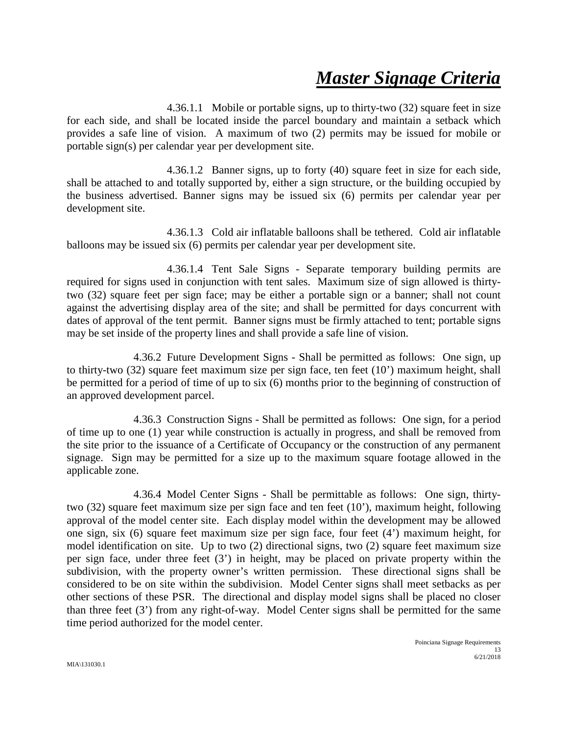4.36.1.1 Mobile or portable signs, up to thirty-two (32) square feet in size for each side, and shall be located inside the parcel boundary and maintain a setback which provides a safe line of vision. A maximum of two (2) permits may be issued for mobile or portable sign(s) per calendar year per development site.

4.36.1.2 Banner signs, up to forty (40) square feet in size for each side, shall be attached to and totally supported by, either a sign structure, or the building occupied by the business advertised. Banner signs may be issued six (6) permits per calendar year per development site.

4.36.1.3 Cold air inflatable balloons shall be tethered. Cold air inflatable balloons may be issued six (6) permits per calendar year per development site.

4.36.1.4 Tent Sale Signs - Separate temporary building permits are required for signs used in conjunction with tent sales. Maximum size of sign allowed is thirtytwo (32) square feet per sign face; may be either a portable sign or a banner; shall not count against the advertising display area of the site; and shall be permitted for days concurrent with dates of approval of the tent permit. Banner signs must be firmly attached to tent; portable signs may be set inside of the property lines and shall provide a safe line of vision.

4.36.2 Future Development Signs - Shall be permitted as follows: One sign, up to thirty-two (32) square feet maximum size per sign face, ten feet (10') maximum height, shall be permitted for a period of time of up to six (6) months prior to the beginning of construction of an approved development parcel.

4.36.3 Construction Signs - Shall be permitted as follows: One sign, for a period of time up to one (1) year while construction is actually in progress, and shall be removed from the site prior to the issuance of a Certificate of Occupancy or the construction of any permanent signage. Sign may be permitted for a size up to the maximum square footage allowed in the applicable zone.

4.36.4 Model Center Signs - Shall be permittable as follows: One sign, thirtytwo (32) square feet maximum size per sign face and ten feet (10'), maximum height, following approval of the model center site. Each display model within the development may be allowed one sign, six (6) square feet maximum size per sign face, four feet (4') maximum height, for model identification on site. Up to two (2) directional signs, two (2) square feet maximum size per sign face, under three feet (3') in height, may be placed on private property within the subdivision, with the property owner's written permission. These directional signs shall be considered to be on site within the subdivision. Model Center signs shall meet setbacks as per other sections of these PSR. The directional and display model signs shall be placed no closer than three feet (3') from any right-of-way. Model Center signs shall be permitted for the same time period authorized for the model center.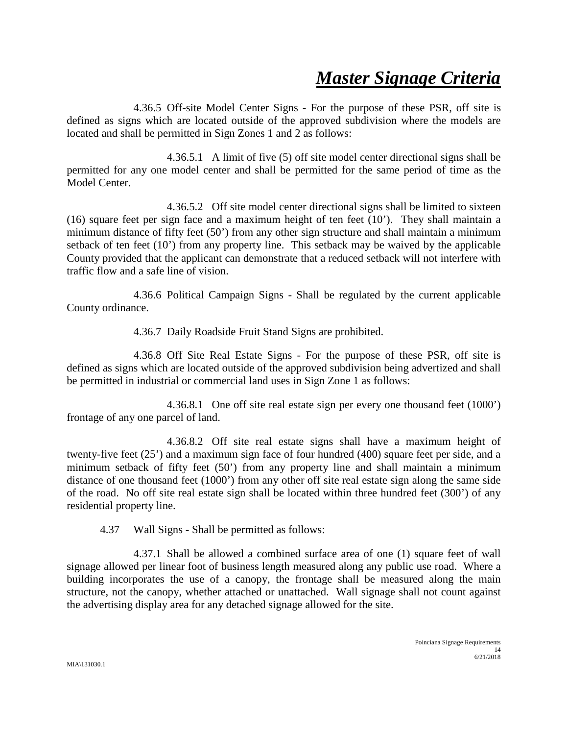4.36.5 Off-site Model Center Signs - For the purpose of these PSR, off site is defined as signs which are located outside of the approved subdivision where the models are located and shall be permitted in Sign Zones 1 and 2 as follows:

4.36.5.1 A limit of five (5) off site model center directional signs shall be permitted for any one model center and shall be permitted for the same period of time as the Model Center.

4.36.5.2 Off site model center directional signs shall be limited to sixteen (16) square feet per sign face and a maximum height of ten feet (10'). They shall maintain a minimum distance of fifty feet (50') from any other sign structure and shall maintain a minimum setback of ten feet (10') from any property line. This setback may be waived by the applicable County provided that the applicant can demonstrate that a reduced setback will not interfere with traffic flow and a safe line of vision.

4.36.6 Political Campaign Signs - Shall be regulated by the current applicable County ordinance.

4.36.7 Daily Roadside Fruit Stand Signs are prohibited.

4.36.8 Off Site Real Estate Signs - For the purpose of these PSR, off site is defined as signs which are located outside of the approved subdivision being advertized and shall be permitted in industrial or commercial land uses in Sign Zone 1 as follows:

4.36.8.1 One off site real estate sign per every one thousand feet (1000') frontage of any one parcel of land.

4.36.8.2 Off site real estate signs shall have a maximum height of twenty-five feet (25') and a maximum sign face of four hundred (400) square feet per side, and a minimum setback of fifty feet (50') from any property line and shall maintain a minimum distance of one thousand feet (1000') from any other off site real estate sign along the same side of the road. No off site real estate sign shall be located within three hundred feet (300') of any residential property line.

4.37 Wall Signs - Shall be permitted as follows:

4.37.1 Shall be allowed a combined surface area of one (1) square feet of wall signage allowed per linear foot of business length measured along any public use road. Where a building incorporates the use of a canopy, the frontage shall be measured along the main structure, not the canopy, whether attached or unattached. Wall signage shall not count against the advertising display area for any detached signage allowed for the site.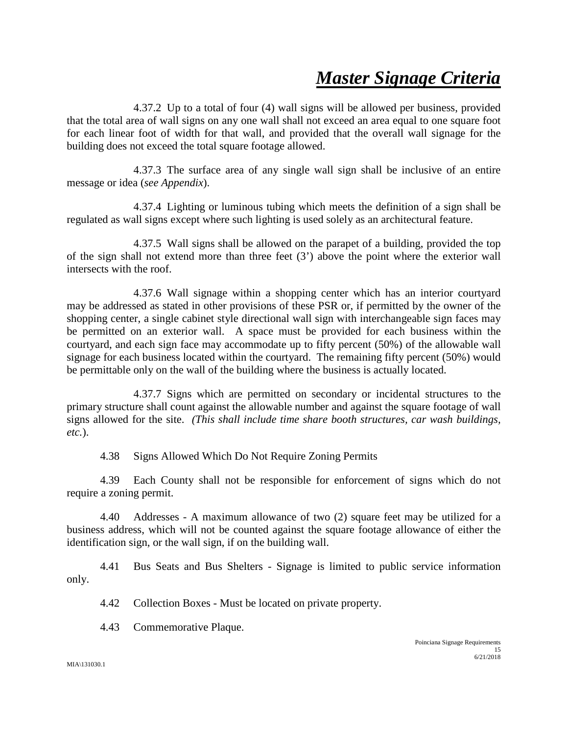4.37.2 Up to a total of four (4) wall signs will be allowed per business, provided that the total area of wall signs on any one wall shall not exceed an area equal to one square foot for each linear foot of width for that wall, and provided that the overall wall signage for the building does not exceed the total square footage allowed.

4.37.3 The surface area of any single wall sign shall be inclusive of an entire message or idea (*see Appendix*).

4.37.4 Lighting or luminous tubing which meets the definition of a sign shall be regulated as wall signs except where such lighting is used solely as an architectural feature.

4.37.5 Wall signs shall be allowed on the parapet of a building, provided the top of the sign shall not extend more than three feet (3') above the point where the exterior wall intersects with the roof.

4.37.6 Wall signage within a shopping center which has an interior courtyard may be addressed as stated in other provisions of these PSR or, if permitted by the owner of the shopping center, a single cabinet style directional wall sign with interchangeable sign faces may be permitted on an exterior wall. A space must be provided for each business within the courtyard, and each sign face may accommodate up to fifty percent (50%) of the allowable wall signage for each business located within the courtyard. The remaining fifty percent (50%) would be permittable only on the wall of the building where the business is actually located.

4.37.7 Signs which are permitted on secondary or incidental structures to the primary structure shall count against the allowable number and against the square footage of wall signs allowed for the site. *(This shall include time share booth structures, car wash buildings, etc.*).

4.38 Signs Allowed Which Do Not Require Zoning Permits

4.39 Each County shall not be responsible for enforcement of signs which do not require a zoning permit.

4.40 Addresses - A maximum allowance of two (2) square feet may be utilized for a business address, which will not be counted against the square footage allowance of either the identification sign, or the wall sign, if on the building wall.

4.41 Bus Seats and Bus Shelters - Signage is limited to public service information only.

4.42 Collection Boxes - Must be located on private property.

4.43 Commemorative Plaque.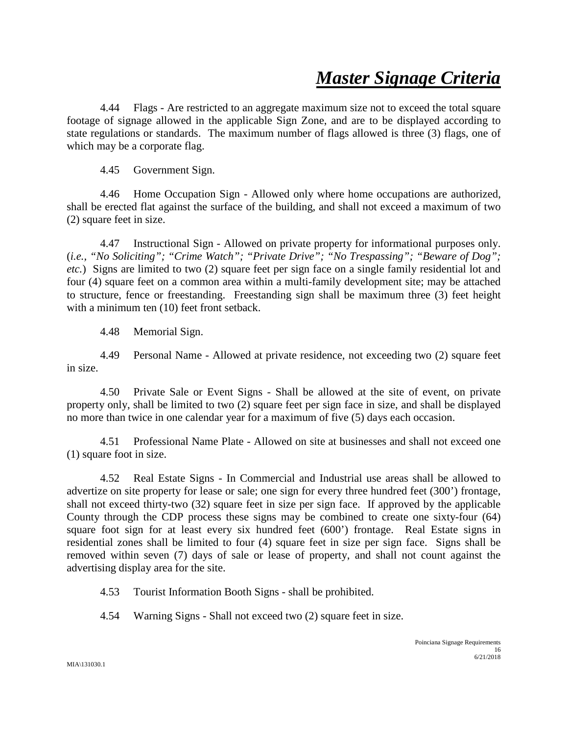4.44 Flags - Are restricted to an aggregate maximum size not to exceed the total square footage of signage allowed in the applicable Sign Zone, and are to be displayed according to state regulations or standards. The maximum number of flags allowed is three (3) flags, one of which may be a corporate flag.

4.45 Government Sign.

4.46 Home Occupation Sign - Allowed only where home occupations are authorized, shall be erected flat against the surface of the building, and shall not exceed a maximum of two (2) square feet in size.

4.47 Instructional Sign - Allowed on private property for informational purposes only. (*i.e., "No Soliciting"; "Crime Watch"; "Private Drive"; "No Trespassing"; "Beware of Dog"; etc.*) Signs are limited to two (2) square feet per sign face on a single family residential lot and four (4) square feet on a common area within a multi-family development site; may be attached to structure, fence or freestanding. Freestanding sign shall be maximum three (3) feet height with a minimum ten (10) feet front setback.

4.48 Memorial Sign.

4.49 Personal Name - Allowed at private residence, not exceeding two (2) square feet in size.

4.50 Private Sale or Event Signs - Shall be allowed at the site of event, on private property only, shall be limited to two (2) square feet per sign face in size, and shall be displayed no more than twice in one calendar year for a maximum of five (5) days each occasion.

4.51 Professional Name Plate - Allowed on site at businesses and shall not exceed one (1) square foot in size.

4.52 Real Estate Signs - In Commercial and Industrial use areas shall be allowed to advertize on site property for lease or sale; one sign for every three hundred feet (300') frontage, shall not exceed thirty-two (32) square feet in size per sign face. If approved by the applicable County through the CDP process these signs may be combined to create one sixty-four (64) square foot sign for at least every six hundred feet (600') frontage. Real Estate signs in residential zones shall be limited to four (4) square feet in size per sign face. Signs shall be removed within seven (7) days of sale or lease of property, and shall not count against the advertising display area for the site.

4.53 Tourist Information Booth Signs - shall be prohibited.

4.54 Warning Signs - Shall not exceed two (2) square feet in size.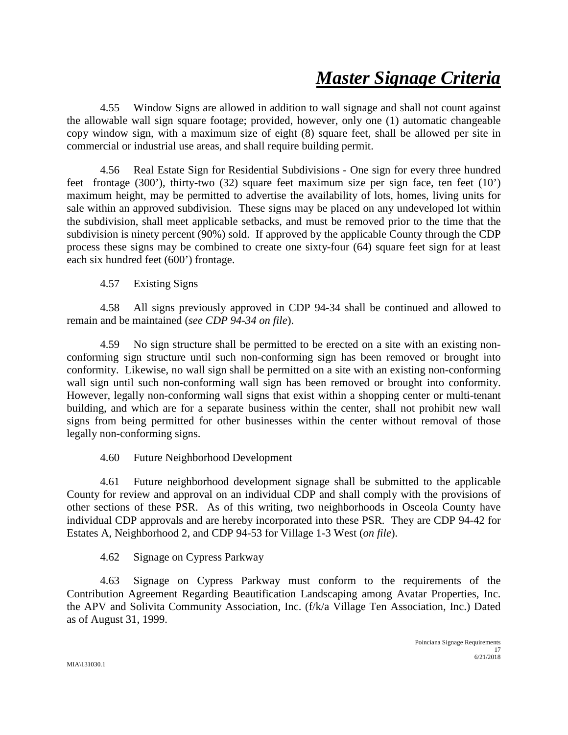4.55 Window Signs are allowed in addition to wall signage and shall not count against the allowable wall sign square footage; provided, however, only one (1) automatic changeable copy window sign, with a maximum size of eight (8) square feet, shall be allowed per site in commercial or industrial use areas, and shall require building permit.

4.56 Real Estate Sign for Residential Subdivisions - One sign for every three hundred feet frontage (300'), thirty-two (32) square feet maximum size per sign face, ten feet  $(10')$ maximum height, may be permitted to advertise the availability of lots, homes, living units for sale within an approved subdivision. These signs may be placed on any undeveloped lot within the subdivision, shall meet applicable setbacks, and must be removed prior to the time that the subdivision is ninety percent (90%) sold. If approved by the applicable County through the CDP process these signs may be combined to create one sixty-four (64) square feet sign for at least each six hundred feet (600') frontage.

4.57 Existing Signs

4.58 All signs previously approved in CDP 94-34 shall be continued and allowed to remain and be maintained (*see CDP 94-34 on file*).

4.59 No sign structure shall be permitted to be erected on a site with an existing nonconforming sign structure until such non-conforming sign has been removed or brought into conformity. Likewise, no wall sign shall be permitted on a site with an existing non-conforming wall sign until such non-conforming wall sign has been removed or brought into conformity. However, legally non-conforming wall signs that exist within a shopping center or multi-tenant building, and which are for a separate business within the center, shall not prohibit new wall signs from being permitted for other businesses within the center without removal of those legally non-conforming signs.

4.60 Future Neighborhood Development

4.61 Future neighborhood development signage shall be submitted to the applicable County for review and approval on an individual CDP and shall comply with the provisions of other sections of these PSR. As of this writing, two neighborhoods in Osceola County have individual CDP approvals and are hereby incorporated into these PSR. They are CDP 94-42 for Estates A, Neighborhood 2, and CDP 94-53 for Village 1-3 West (*on file*).

4.62 Signage on Cypress Parkway

4.63 Signage on Cypress Parkway must conform to the requirements of the Contribution Agreement Regarding Beautification Landscaping among Avatar Properties, Inc. the APV and Solivita Community Association, Inc. (f/k/a Village Ten Association, Inc.) Dated as of August 31, 1999.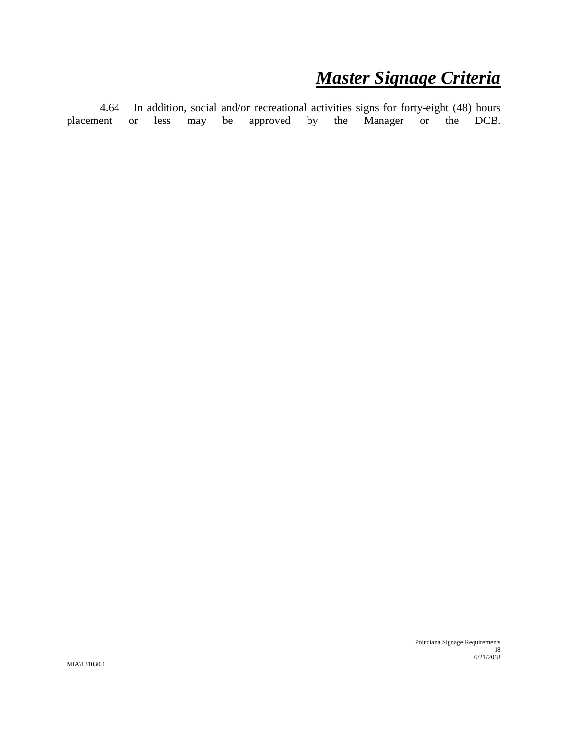4.64 In addition, social and/or recreational activities signs for forty-eight (48) hours<br>tend or less may be approved by the Manager or the DCB. placement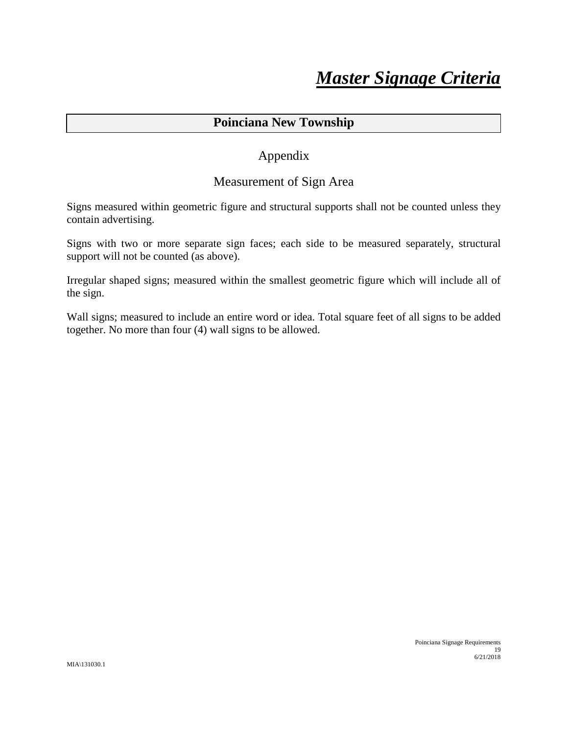### **Poinciana New Township**

### Appendix

### Measurement of Sign Area

Signs measured within geometric figure and structural supports shall not be counted unless they contain advertising.

Signs with two or more separate sign faces; each side to be measured separately, structural support will not be counted (as above).

Irregular shaped signs; measured within the smallest geometric figure which will include all of the sign.

Wall signs; measured to include an entire word or idea. Total square feet of all signs to be added together. No more than four (4) wall signs to be allowed.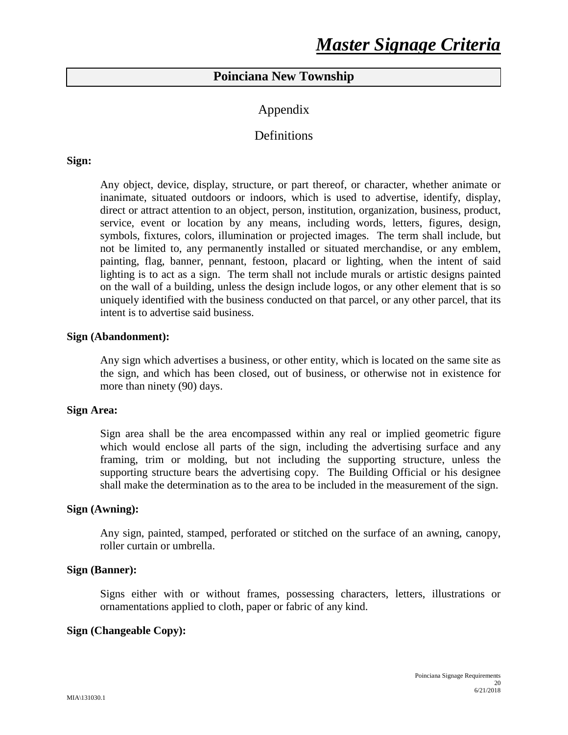### **Poinciana New Township**

### Appendix

### **Definitions**

#### **Sign:**

Any object, device, display, structure, or part thereof, or character, whether animate or inanimate, situated outdoors or indoors, which is used to advertise, identify, display, direct or attract attention to an object, person, institution, organization, business, product, service, event or location by any means, including words, letters, figures, design, symbols, fixtures, colors, illumination or projected images. The term shall include, but not be limited to, any permanently installed or situated merchandise, or any emblem, painting, flag, banner, pennant, festoon, placard or lighting, when the intent of said lighting is to act as a sign. The term shall not include murals or artistic designs painted on the wall of a building, unless the design include logos, or any other element that is so uniquely identified with the business conducted on that parcel, or any other parcel, that its intent is to advertise said business.

#### **Sign (Abandonment):**

Any sign which advertises a business, or other entity, which is located on the same site as the sign, and which has been closed, out of business, or otherwise not in existence for more than ninety (90) days.

#### **Sign Area:**

Sign area shall be the area encompassed within any real or implied geometric figure which would enclose all parts of the sign, including the advertising surface and any framing, trim or molding, but not including the supporting structure, unless the supporting structure bears the advertising copy. The Building Official or his designee shall make the determination as to the area to be included in the measurement of the sign.

#### **Sign (Awning):**

Any sign, painted, stamped, perforated or stitched on the surface of an awning, canopy, roller curtain or umbrella.

#### **Sign (Banner):**

Signs either with or without frames, possessing characters, letters, illustrations or ornamentations applied to cloth, paper or fabric of any kind.

#### **Sign (Changeable Copy):**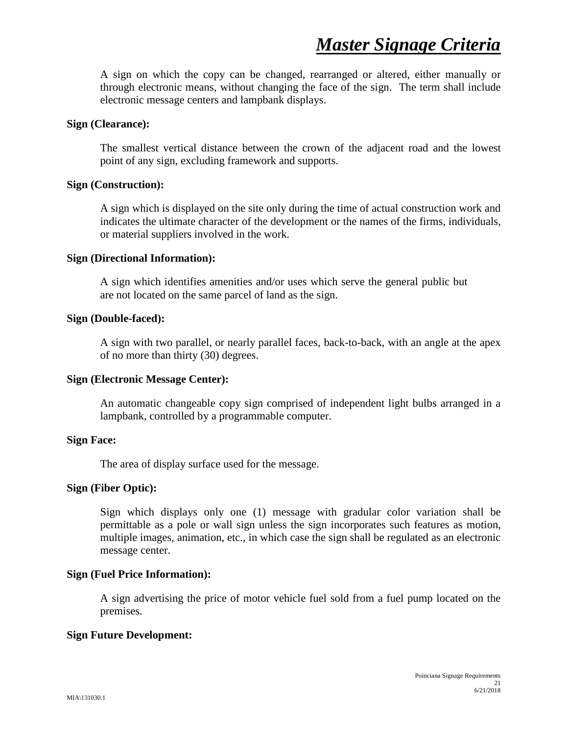A sign on which the copy can be changed, rearranged or altered, either manually or through electronic means, without changing the face of the sign. The term shall include electronic message centers and lampbank displays.

#### **Sign (Clearance):**

The smallest vertical distance between the crown of the adjacent road and the lowest point of any sign, excluding framework and supports.

#### **Sign (Construction):**

A sign which is displayed on the site only during the time of actual construction work and indicates the ultimate character of the development or the names of the firms, individuals, or material suppliers involved in the work.

#### **Sign (Directional Information):**

A sign which identifies amenities and/or uses which serve the general public but are not located on the same parcel of land as the sign.

#### **Sign (Double-faced):**

A sign with two parallel, or nearly parallel faces, back-to-back, with an angle at the apex of no more than thirty (30) degrees.

#### **Sign (Electronic Message Center):**

An automatic changeable copy sign comprised of independent light bulbs arranged in a lampbank, controlled by a programmable computer.

#### **Sign Face:**

The area of display surface used for the message.

#### **Sign (Fiber Optic):**

Sign which displays only one (1) message with gradular color variation shall be permittable as a pole or wall sign unless the sign incorporates such features as motion, multiple images, animation, etc., in which case the sign shall be regulated as an electronic message center.

#### **Sign (Fuel Price Information):**

A sign advertising the price of motor vehicle fuel sold from a fuel pump located on the premises.

#### **Sign Future Development:**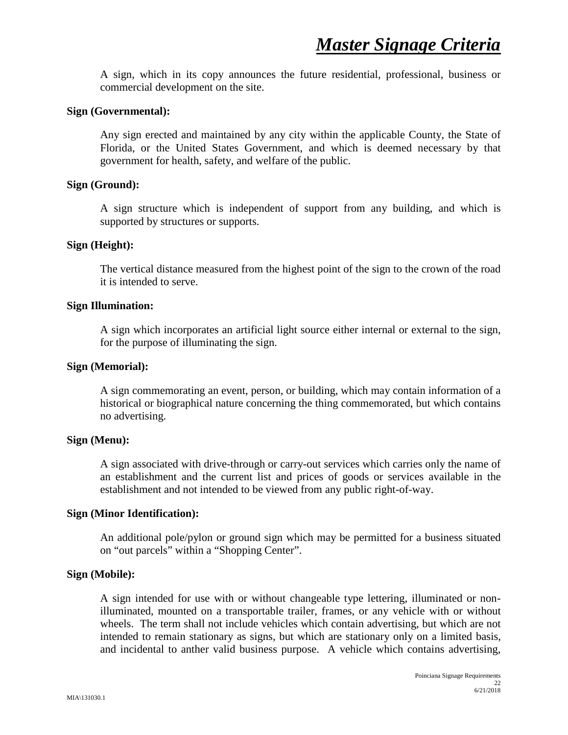A sign, which in its copy announces the future residential, professional, business or commercial development on the site.

#### **Sign (Governmental):**

Any sign erected and maintained by any city within the applicable County, the State of Florida, or the United States Government, and which is deemed necessary by that government for health, safety, and welfare of the public.

#### **Sign (Ground):**

A sign structure which is independent of support from any building, and which is supported by structures or supports.

#### **Sign (Height):**

The vertical distance measured from the highest point of the sign to the crown of the road it is intended to serve.

#### **Sign Illumination:**

A sign which incorporates an artificial light source either internal or external to the sign, for the purpose of illuminating the sign.

#### **Sign (Memorial):**

A sign commemorating an event, person, or building, which may contain information of a historical or biographical nature concerning the thing commemorated, but which contains no advertising.

#### **Sign (Menu):**

A sign associated with drive-through or carry-out services which carries only the name of an establishment and the current list and prices of goods or services available in the establishment and not intended to be viewed from any public right-of-way.

#### **Sign (Minor Identification):**

An additional pole/pylon or ground sign which may be permitted for a business situated on "out parcels" within a "Shopping Center".

#### **Sign (Mobile):**

A sign intended for use with or without changeable type lettering, illuminated or nonilluminated, mounted on a transportable trailer, frames, or any vehicle with or without wheels. The term shall not include vehicles which contain advertising, but which are not intended to remain stationary as signs, but which are stationary only on a limited basis, and incidental to anther valid business purpose. A vehicle which contains advertising,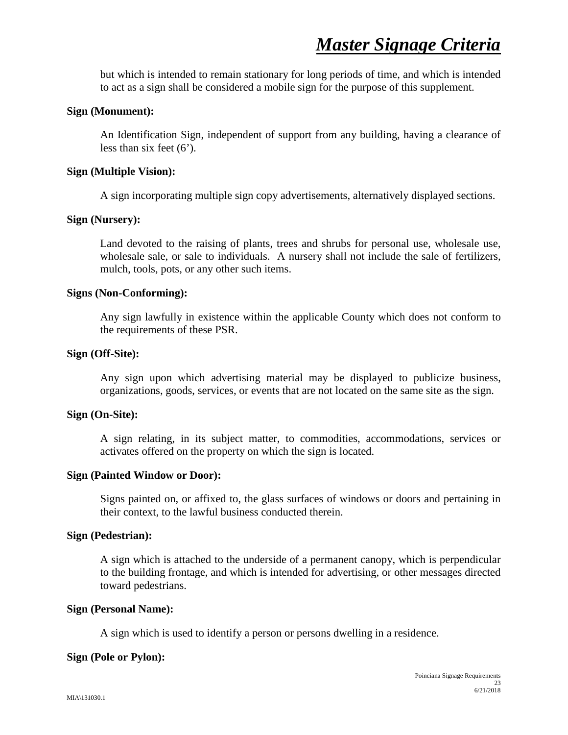but which is intended to remain stationary for long periods of time, and which is intended to act as a sign shall be considered a mobile sign for the purpose of this supplement.

#### **Sign (Monument):**

An Identification Sign, independent of support from any building, having a clearance of less than six feet (6').

#### **Sign (Multiple Vision):**

A sign incorporating multiple sign copy advertisements, alternatively displayed sections.

#### **Sign (Nursery):**

Land devoted to the raising of plants, trees and shrubs for personal use, wholesale use, wholesale sale, or sale to individuals. A nursery shall not include the sale of fertilizers, mulch, tools, pots, or any other such items.

#### **Signs (Non-Conforming):**

Any sign lawfully in existence within the applicable County which does not conform to the requirements of these PSR.

#### **Sign (Off-Site):**

Any sign upon which advertising material may be displayed to publicize business, organizations, goods, services, or events that are not located on the same site as the sign.

#### **Sign (On-Site):**

A sign relating, in its subject matter, to commodities, accommodations, services or activates offered on the property on which the sign is located.

#### **Sign (Painted Window or Door):**

Signs painted on, or affixed to, the glass surfaces of windows or doors and pertaining in their context, to the lawful business conducted therein.

#### **Sign (Pedestrian):**

A sign which is attached to the underside of a permanent canopy, which is perpendicular to the building frontage, and which is intended for advertising, or other messages directed toward pedestrians.

#### **Sign (Personal Name):**

A sign which is used to identify a person or persons dwelling in a residence.

#### **Sign (Pole or Pylon):**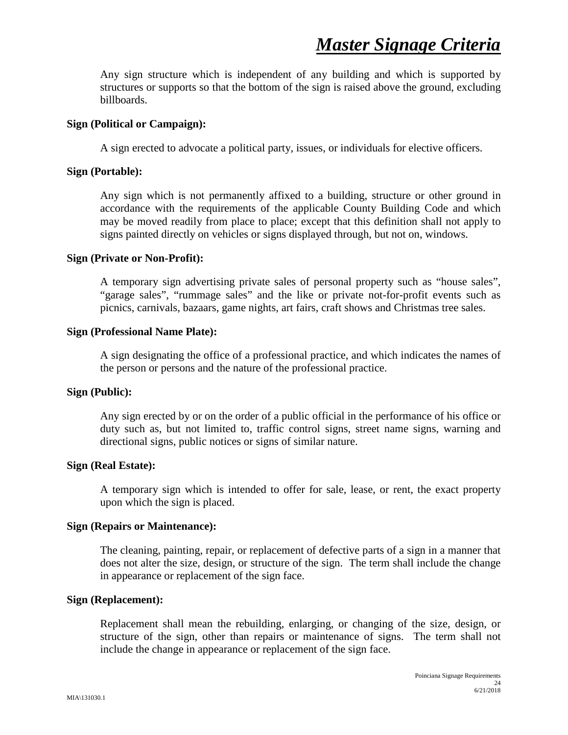Any sign structure which is independent of any building and which is supported by structures or supports so that the bottom of the sign is raised above the ground, excluding billboards.

#### **Sign (Political or Campaign):**

A sign erected to advocate a political party, issues, or individuals for elective officers.

#### **Sign (Portable):**

Any sign which is not permanently affixed to a building, structure or other ground in accordance with the requirements of the applicable County Building Code and which may be moved readily from place to place; except that this definition shall not apply to signs painted directly on vehicles or signs displayed through, but not on, windows.

#### **Sign (Private or Non-Profit):**

A temporary sign advertising private sales of personal property such as "house sales", "garage sales", "rummage sales" and the like or private not-for-profit events such as picnics, carnivals, bazaars, game nights, art fairs, craft shows and Christmas tree sales.

#### **Sign (Professional Name Plate):**

A sign designating the office of a professional practice, and which indicates the names of the person or persons and the nature of the professional practice.

#### **Sign (Public):**

Any sign erected by or on the order of a public official in the performance of his office or duty such as, but not limited to, traffic control signs, street name signs, warning and directional signs, public notices or signs of similar nature.

#### **Sign (Real Estate):**

A temporary sign which is intended to offer for sale, lease, or rent, the exact property upon which the sign is placed.

#### **Sign (Repairs or Maintenance):**

The cleaning, painting, repair, or replacement of defective parts of a sign in a manner that does not alter the size, design, or structure of the sign. The term shall include the change in appearance or replacement of the sign face.

#### **Sign (Replacement):**

Replacement shall mean the rebuilding, enlarging, or changing of the size, design, or structure of the sign, other than repairs or maintenance of signs. The term shall not include the change in appearance or replacement of the sign face.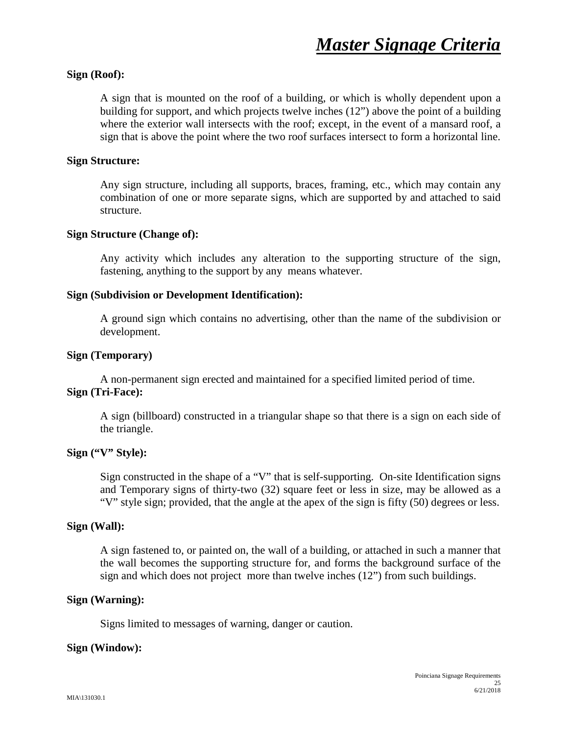#### **Sign (Roof):**

A sign that is mounted on the roof of a building, or which is wholly dependent upon a building for support, and which projects twelve inches (12") above the point of a building where the exterior wall intersects with the roof; except, in the event of a mansard roof, a sign that is above the point where the two roof surfaces intersect to form a horizontal line.

#### **Sign Structure:**

Any sign structure, including all supports, braces, framing, etc., which may contain any combination of one or more separate signs, which are supported by and attached to said structure.

#### **Sign Structure (Change of):**

Any activity which includes any alteration to the supporting structure of the sign, fastening, anything to the support by any means whatever.

#### **Sign (Subdivision or Development Identification):**

A ground sign which contains no advertising, other than the name of the subdivision or development.

#### **Sign (Temporary)**

A non-permanent sign erected and maintained for a specified limited period of time. **Sign (Tri-Face):**

A sign (billboard) constructed in a triangular shape so that there is a sign on each side of the triangle.

#### **Sign ("V" Style):**

Sign constructed in the shape of a "V" that is self-supporting. On-site Identification signs and Temporary signs of thirty-two (32) square feet or less in size, may be allowed as a "V" style sign; provided, that the angle at the apex of the sign is fifty (50) degrees or less.

#### **Sign (Wall):**

A sign fastened to, or painted on, the wall of a building, or attached in such a manner that the wall becomes the supporting structure for, and forms the background surface of the sign and which does not project more than twelve inches (12") from such buildings.

#### **Sign (Warning):**

Signs limited to messages of warning, danger or caution.

#### **Sign (Window):**